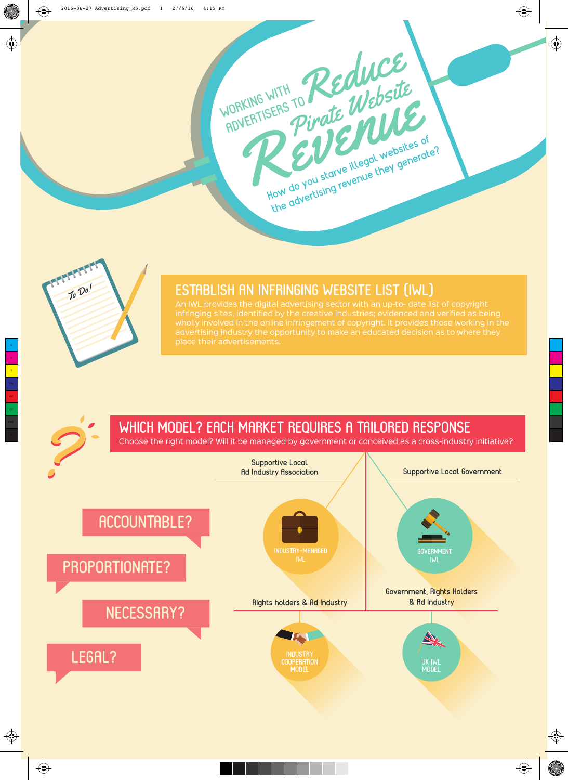



## **ESTABLISH AN INFRINGING WEBSITE LIST (IWL)**